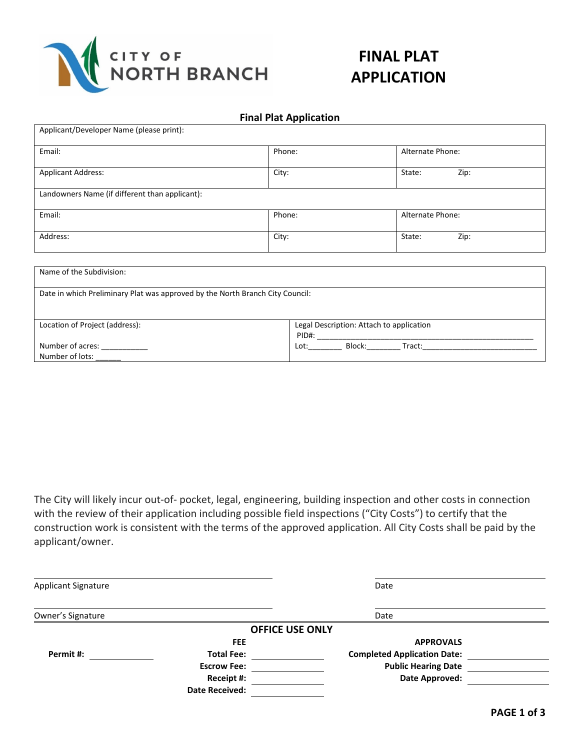

## **FINAL PLAT APPLICATION**

|  |  | <b>Final Plat Application</b> |
|--|--|-------------------------------|
|--|--|-------------------------------|

| Applicant/Developer Name (please print):       |        |                  |  |  |  |
|------------------------------------------------|--------|------------------|--|--|--|
| Email:                                         | Phone: | Alternate Phone: |  |  |  |
| <b>Applicant Address:</b>                      | City:  | State:<br>Zip:   |  |  |  |
| Landowners Name (if different than applicant): |        |                  |  |  |  |
| Email:                                         | Phone: | Alternate Phone: |  |  |  |
| Address:                                       | City:  | State:<br>Zip:   |  |  |  |

| Name of the Subdivision:                                                      |                                          |  |
|-------------------------------------------------------------------------------|------------------------------------------|--|
| Date in which Preliminary Plat was approved by the North Branch City Council: |                                          |  |
|                                                                               |                                          |  |
| Location of Project (address):                                                | Legal Description: Attach to application |  |
|                                                                               | PID#:                                    |  |
| Number of acres:                                                              | Block:<br>Lot:<br>Tract:                 |  |
| Number of lots:                                                               |                                          |  |

The City will likely incur out-of- pocket, legal, engineering, building inspection and other costs in connection with the review of their application including possible field inspections ("City Costs") to certify that the construction work is consistent with the terms of the approved application. All City Costs shall be paid by the applicant/owner.

| <b>Applicant Signature</b> |                        | Date                               |  |
|----------------------------|------------------------|------------------------------------|--|
| Owner's Signature          |                        | Date                               |  |
|                            | <b>OFFICE USE ONLY</b> |                                    |  |
|                            | <b>FEE</b>             | <b>APPROVALS</b>                   |  |
| Permit#:                   | <b>Total Fee:</b>      | <b>Completed Application Date:</b> |  |
|                            | <b>Escrow Fee:</b>     | <b>Public Hearing Date</b>         |  |
|                            | Receipt #:             | Date Approved:                     |  |
|                            | <b>Date Received:</b>  |                                    |  |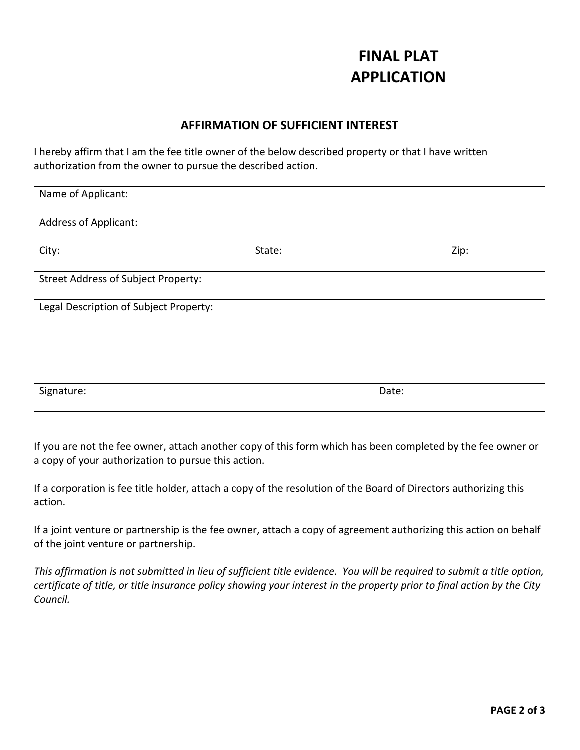## **FINAL PLAT APPLICATION**

### **AFFIRMATION OF SUFFICIENT INTEREST**

I hereby affirm that I am the fee title owner of the below described property or that I have written authorization from the owner to pursue the described action.

| Name of Applicant:                         |        |       |      |
|--------------------------------------------|--------|-------|------|
| Address of Applicant:                      |        |       |      |
| City:                                      | State: |       | Zip: |
| <b>Street Address of Subject Property:</b> |        |       |      |
| Legal Description of Subject Property:     |        |       |      |
|                                            |        |       |      |
|                                            |        |       |      |
| Signature:                                 |        | Date: |      |

If you are not the fee owner, attach another copy of this form which has been completed by the fee owner or a copy of your authorization to pursue this action.

If a corporation is fee title holder, attach a copy of the resolution of the Board of Directors authorizing this action.

If a joint venture or partnership is the fee owner, attach a copy of agreement authorizing this action on behalf of the joint venture or partnership.

*This affirmation is not submitted in lieu of sufficient title evidence. You will be required to submit a title option, certificate of title, or title insurance policy showing your interest in the property prior to final action by the City Council.*